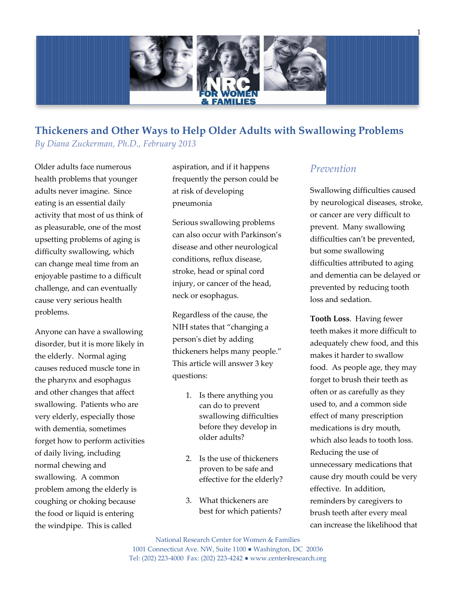

### **Thickeners and Other Ways to Help Older Adults with Swallowing Problems** *By Diana Zuckerman, Ph.D., February 2013*

Older adults face numerous health problems that younger adults never imagine. Since eating is an essential daily activity that most of us think of as pleasurable, one of the most upsetting problems of aging is difficulty swallowing, which can change meal time from an enjoyable pastime to a difficult challenge, and can eventually cause very serious health problems.

Anyone can have a swallowing disorder, but it is more likely in the elderly. Normal aging causes reduced muscle tone in the pharynx and esophagus and other changes that affect swallowing. Patients who are very elderly, especially those with dementia, sometimes forget how to perform activities of daily living, including normal chewing and swallowing. A common problem among the elderly is coughing or choking because the food or liquid is entering the windpipe. This is called

aspiration, and if it happens frequently the person could be at risk of developing pneumonia

Serious swallowing problems can also occur with Parkinson's disease and other neurological conditions, reflux disease, stroke, head or spinal cord injury, or cancer of the head, neck or esophagus.

Regardless of the cause, the NIH states that "changing a person's diet by adding thickeners helps many people." This article will answer 3 key questions:

- 1. Is there anything you can do to prevent swallowing difficulties before they develop in older adults?
- 2. Is the use of thickeners proven to be safe and effective for the elderly?
- 3. What thickeners are best for which patients?

### *Prevention*

Swallowing difficulties caused by neurological diseases, stroke, or cancer are very difficult to prevent. Many swallowing difficulties can't be prevented, but some swallowing difficulties attributed to aging and dementia can be delayed or prevented by reducing tooth loss and sedation.

**Tooth Loss**. Having fewer teeth makes it more difficult to adequately chew food, and this makes it harder to swallow food. As people age, they may forget to brush their teeth as often or as carefully as they used to, and a common side effect of many prescription medications is dry mouth, which also leads to tooth loss. Reducing the use of unnecessary medications that cause dry mouth could be very effective. In addition, reminders by caregivers to brush teeth after every meal can increase the likelihood that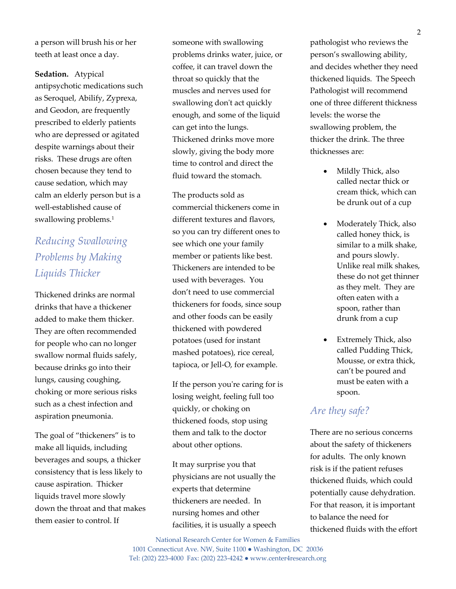a person will brush his or her teeth at least once a day.

**Sedation.** Atypical antipsychotic medications such as Seroquel, Abilify, Zyprexa, and Geodon, are frequently prescribed to elderly patients who are depressed or agitated despite warnings about their risks. These drugs are often chosen because they tend to cause sedation, which may calm an elderly person but is a well-established cause of swallowing problems.<sup>1</sup>

# *Reducing Swallowing Problems by Making Liquids Thicker*

Thickened drinks are normal drinks that have a thickener added to make them thicker. They are often recommended for people who can no longer swallow normal fluids safely, because drinks go into their lungs, causing coughing, choking or more serious risks such as a chest infection and aspiration pneumonia.

The goal of "thickeners" is to make all liquids, including beverages and soups, a thicker consistency that is less likely to cause aspiration. Thicker liquids travel more slowly down the throat and that makes them easier to control. If

someone with swallowing problems drinks water, juice, or coffee, it can travel down the throat so quickly that the muscles and nerves used for swallowing don't act quickly enough, and some of the liquid can get into the lungs. Thickened drinks move more slowly, giving the body more time to control and direct the fluid toward the stomach.

The products sold as commercial thickeners come in different textures and flavors, so you can try different ones to see which one your family member or patients like best. Thickeners are intended to be used with beverages. You don't need to use commercial thickeners for foods, since soup and other foods can be easily thickened with powdered potatoes (used for instant mashed potatoes), rice cereal, tapioca, or Jell-O, for example.

If the person you're caring for is losing weight, feeling full too quickly, or choking on thickened foods, stop using them and talk to the doctor about other options.

It may surprise you that physicians are not usually the experts that determine thickeners are needed. In nursing homes and other facilities, it is usually a speech pathologist who reviews the person's swallowing ability, and decides whether they need thickened liquids. The Speech Pathologist will recommend one of three different thickness levels: the worse the swallowing problem, the thicker the drink. The three thicknesses are:

- Mildly Thick, also called nectar thick or cream thick, which can be drunk out of a cup
- Moderately Thick, also called honey thick, is similar to a milk shake, and pours slowly. Unlike real milk shakes, these do not get thinner as they melt. They are often eaten with a spoon, rather than drunk from a cup
- Extremely Thick, also called Pudding Thick, Mousse, or extra thick, can't be poured and must be eaten with a spoon.

### *Are they safe?*

There are no serious concerns about the safety of thickeners for adults. The only known risk is if the patient refuses thickened fluids, which could potentially cause dehydration. For that reason, it is important to balance the need for thickened fluids with the effort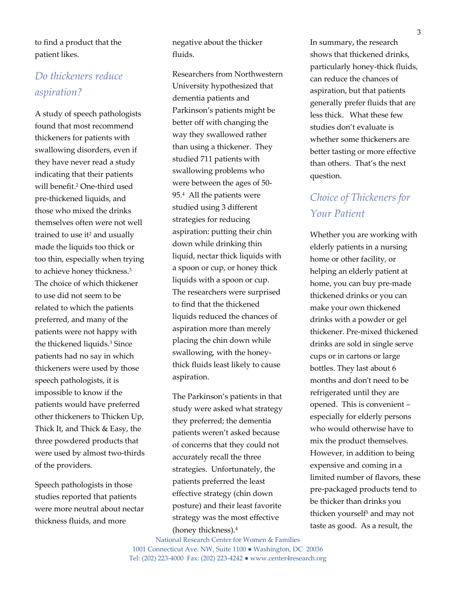to find a product that the patient likes.

## *Do thickeners reduce aspiration?*

A study of speech pathologists found that most recommend thickeners for patients with swallowing disorders, even if they have never read a study indicating that their patients will benefit.<sup>2</sup> One-third used pre-thickened liquids, and those who mixed the drinks themselves often were not well trained to use it<sup>2</sup> and usually made the liquids too thick or too thin, especially when trying to achieve honey thickness.<sup>3</sup> The choice of which thickener to use did not seem to be related to which the patients preferred, and many of the patients were not happy with the thickened liquids.<sup>3</sup> Since patients had no say in which thickeners were used by those speech pathologists, it is impossible to know if the patients would have preferred other thickeners to Thicken Up, Thick It, and Thick & Easy, the three powdered products that were used by almost two-thirds of the providers.

Speech pathologists in those studies reported that patients were more neutral about nectar thickness fluids, and more

negative about the thicker fluids.

Researchers from Northwestern University hypothesized that dementia patients and Parkinson's patients might be better off with changing the way they swallowed rather than using a thickener. They studied 711 patients with swallowing problems who were between the ages of 50- 95.<sup>4</sup> All the patients were studied using 3 different strategies for reducing aspiration: putting their chin down while drinking thin liquid, nectar thick liquids with a spoon or cup, or honey thick liquids with a spoon or cup. The researchers were surprised to find that the thickened liquids reduced the chances of aspiration more than merely placing the chin down while swallowing, with the honeythick fluids least likely to cause aspiration.

The Parkinson's patients in that study were asked what strategy they preferred; the dementia patients weren't asked because of concerns that they could not accurately recall the three strategies. Unfortunately, the patients preferred the least effective strategy (chin down posture) and their least favorite strategy was the most effective (honey thickness).<sup>4</sup>

National Research Center for Women & Families 1001 Connecticut Ave. NW, Suite 1100 ● Washington, DC 20036 Tel: (202) 223-4000 Fax: (202) 223-4242 ● www.center4research.org

In summary, the research shows that thickened drinks, particularly honey-thick fluids, can reduce the chances of aspiration, but that patients generally prefer fluids that are less thick. What these few studies don't evaluate is whether some thickeners are better tasting or more effective than others. That's the next question.

### *Choice of Thickeners for Your Patient*

Whether you are working with elderly patients in a nursing home or other facility, or helping an elderly patient at home, you can buy pre-made thickened drinks or you can make your own thickened drinks with a powder or gel thickener. Pre-mixed thickened drinks are sold in single serve cups or in cartons or large bottles. They last about 6 months and don't need to be refrigerated until they are opened. This is convenient – especially for elderly persons who would otherwise have to mix the product themselves. However, in addition to being expensive and coming in a limited number of flavors, these pre-packaged products tend to be thicker than drinks you thicken yourself<sup>5</sup> and may not taste as good. As a result, the